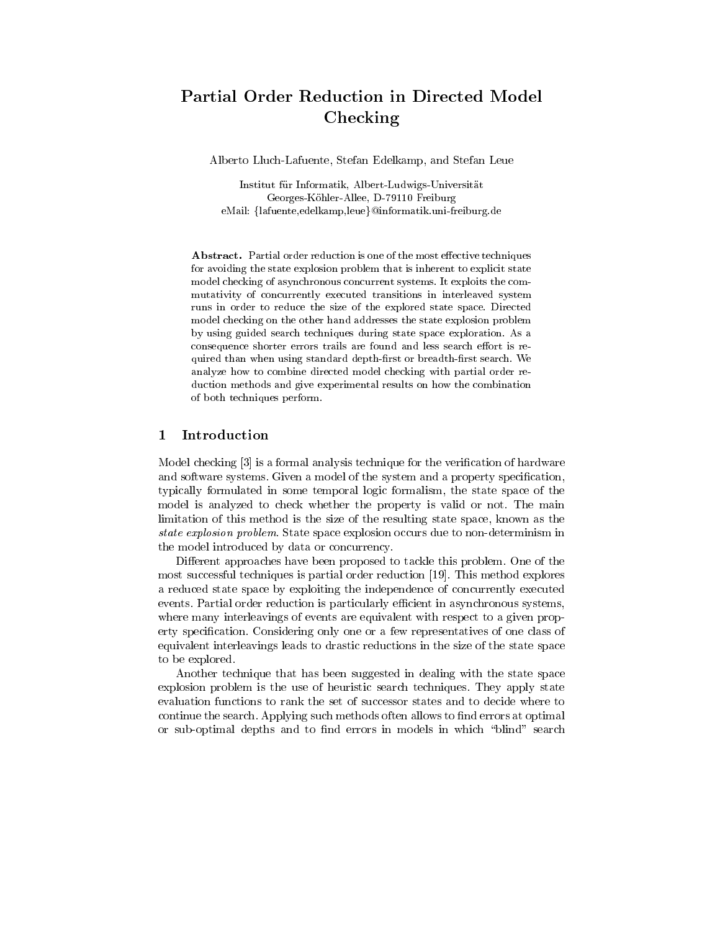## Partial Order Reduction in Directed Model Checking

Alberto Lluch-Lafuente, Stefan Edelkamp, and Stefan Leue

Institut fur Informatik, Albert-Ludwigs-Universitat Georges-Kohler-Allee, D-79110 Freiburg eMail: {lafuente,edelkamp,leue}@informatik.uni-freiburg.de

Abstract. Partial order reduction is one of the most effective techniques for avoiding the state explosion problem that is inherent to explicit state model checking of asynchronous concurrent systems. It exploits the com mutativity of concurrently executed transitions in interleaved system runs in order to reduce the size of the explored state space. Directed model checking on the other hand addresses the state explosion problem by using guided search techniques during state space exploration. As a consequence shorter errors trails are found and less search effort is required than when using standard depth-first or breadth-first search. We analyze how to combine directed model checking with partial order reduction methods and give experimental results on how the combination of both techniques perform.

#### $\mathbf{1}$ Introduction

Model checking [3] is a formal analysis technique for the verification of hardware and software systems. Given a model of the system and a property specification, typically formulated in some temporal logic formalism, the state space of the model is analyzed to check whether the property is valid or not. The main limitation of this method is the size of the resulting state space, known as the state explosion problem. State space explosion occurs due to non-determinism in the model introduced by data or concurrency.

Different approaches have been proposed to tackle this problem. One of the most successful techniques is partial order reduction [19]. This method explores a reduced state space by exploiting the independence of concurrently executed events. Partial order reduction is particularly efficient in asynchronous systems, where many interleavings of events are equivalent with respect to a given property specification. Considering only one or a few representatives of one class of equivalent interleavings leads to drastic reductions in the size of the state space to be explored.

Another technique that has been suggested in dealing with the state space explosion problem is the use of heuristic search techniques. They apply state evaluation functions to rank the set of successor states and to decide where to continue the search. Applying such methods often allows to find errors at optimal or sub-optimal depths and to find errors in models in which "blind" search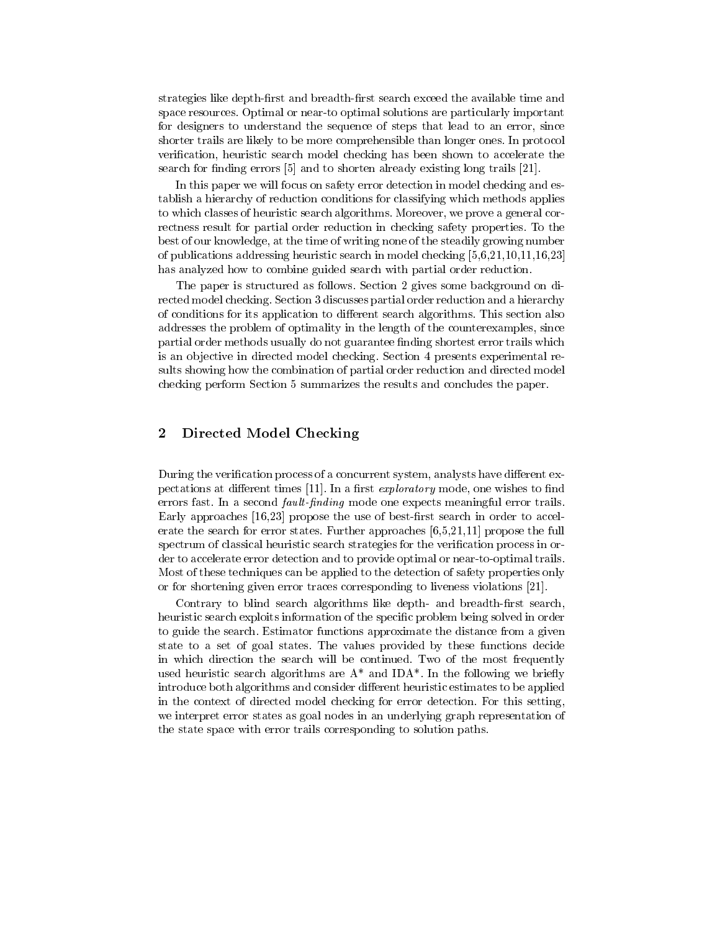strategies like depth-first and breadth-first search exceed the available time and space resources. Optimal or near-to optimal solutions are particularly important for designers to understand the sequence of steps that lead to an error, since shorter trails are likely to be more comprehensible than longer ones. In protocol verification, heuristic search model checking has been shown to accelerate the search for finding errors [5] and to shorten already existing long trails [21].

In this paper we will focus on safety error detection in model checking and establish a hierarchy of reduction conditions for classifying which methods applies to which classes of heuristic search algorithms. Moreover, we prove a general correctness result for partial order reduction in checking safety properties. To the best of our knowledge, at the time of writing none of the steadily growing number of publications addressing heuristic search in model checking [5,6,21,10,11,16,23] has analyzed how to combine guided search with partial order reduction.

The paper is structured as follows. Section 2 gives some background on directed model checking. Section 3 discusses partial order reduction and a hierarchy of conditions for its application to dierent search algorithms. This section also addresses the problem of optimality in the length of the counterexamples, since partial order methods usually do not guarantee finding shortest error trails which is an ob jective in directed model checking. Section 4 presents experimental results showing how the combination of partial order reduction and directed model checking perform Section 5 summarizes the results and concludes the paper.

#### 2Directed Model Checking

During the verification process of a concurrent system, analysts have different expectations at different times  $[11]$ . In a first *exploratory* mode, one wishes to find errors fast. In a second *fault-finding* mode one expects meaningful error trails. Early approaches  $[16,23]$  propose the use of best-first search in order to accelerate the search for error states. Further approaches [6,5,21,11] propose the full spectrum of classical heuristic search strategies for the verification process in order to accelerate error detection and to provide optimal or near-to-optimal trails. Most of these techniques can be applied to the detection of safety properties only or for shortening given error traces corresponding to liveness violations [21].

Contrary to blind search algorithms like depth- and breadth-first search, heuristic search exploits information of the specific problem being solved in order to guide the search. Estimator functions approximate the distance from a given state to a set of goal states. The values provided by these functions decide in which direction the search will be continued. Two of the most frequently used heuristic search algorithms are  $A^*$  and IDA<sup>\*</sup>. In the following we briefly introduce both algorithms and consider different heuristic estimates to be applied in the context of directed model checking for error detection. For this setting, we interpret error states as goal nodes in an underlying graph representation of the state space with error trails corresponding to solution paths.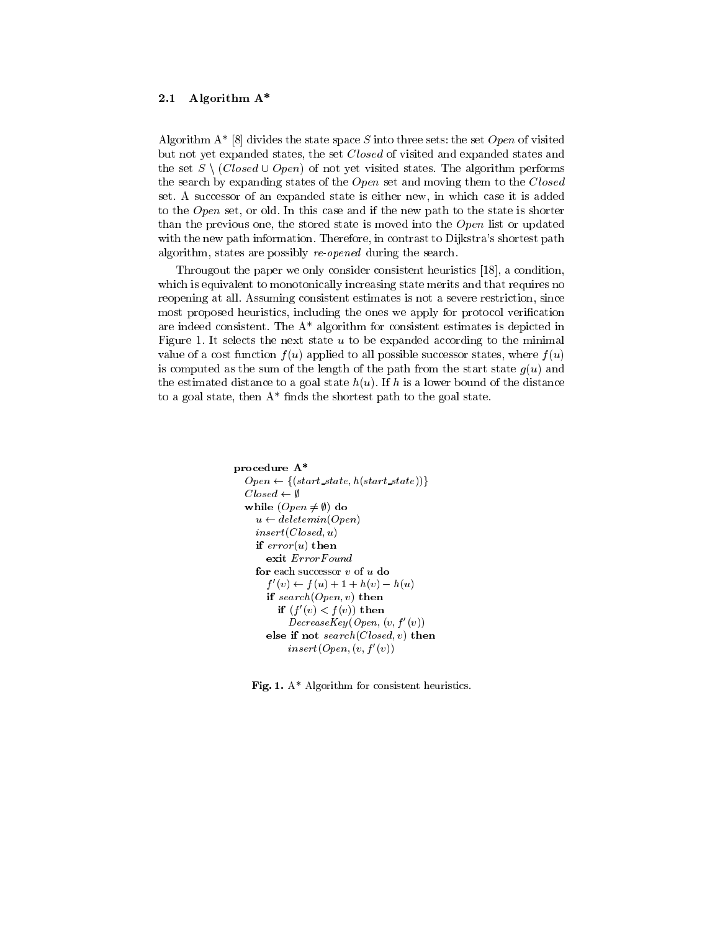## 2.1 Algorithm A\*

Algorithm  $A^*$  [8] divides the state space S into three sets: the set Open of visited but not yet expanded states, the set Closed of visited and expanded states and the set  $S \setminus (Closed \cup Open)$  of not yet visited states. The algorithm performs the search by expanding states of the  $Open$  set and moving them to the  $Closed$ set. A successor of an expanded state is either new, in which case it is added to the *Open* set, or old. In this case and if the new path to the state is shorter than the previous one, the stored state is moved into the  $Open$  list or updated with the new path information. Therefore, in contrast to Dijkstra's shortest path algorithm, states are possibly re-opened during the search.

Througout the paper we only consider consistent heuristics [18], a condition, which is equivalent to monotonically increasing state merits and that requires no reopening at all. Assuming consistent estimates is not a severe restriction, since most proposed heuristics, including the ones we apply for protocol verification are indeed consistent. The A\* algorithm for consistent estimates is depicted in Figure 1. It selects the next state  $u$  to be expanded according to the minimal value of a cost function  $f(u)$  applied to all possible successor states, where  $f(u)$ is computed as the sum of the length of the path from the start state  $g(u)$  and the estimated distance to a goal state  $h(u)$ . If h is a lower bound of the distance to a goal state, then  $A^*$  finds the shortest path to the goal state.

```
procedure A*
  Open \leftarrow \{(start\_state, h(start\_state))\}Closed \leftarrow \emptysetwhile (Open \neq \emptyset) do
    u \leftarrow \text{deletemin}(\text{Open})insert(Closed, u)if error(u) then
       exit ErrorFound
    for each successor v of u do
        f(v) \leftarrow f(u) + 1 + h(v) - h(u)if search(Open, v) then
          if (f(v) \leq f(v)) then
            DecreaseKey (Open, (v, f'(v)))
       else if not search(Closed, v) then
            insert(Open,(v,f'(v))
```
Fig. 1. A\* Algorithm for consistent heuristics.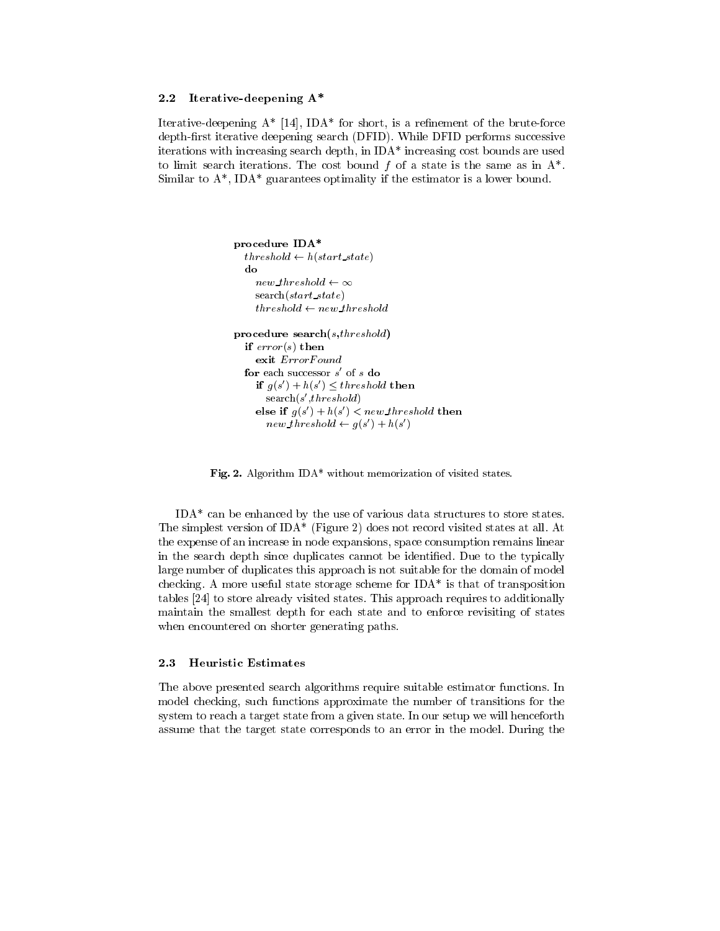## 2.2 Iterative-deepening A\*

Iterative-deepening  $A^*$  [14], IDA\* for short, is a refinement of the brute-force depth-first iterative deepening search (DFID). While DFID performs successive iterations with increasing search depth, in IDA\* increasing cost bounds are used to limit search iterations. The cost bound  $f$  of a state is the same as in  $A^*$ . Similar to  $A^*$ , IDA\* guarantees optimality if the estimator is a lower bound.

```
procedure IDA*
  threshold \leftarrow h(start\_state)do
  new\_threshold \leftarrow \inftysearch(start state)
    \iotanresnola\leftarrow new threshold
procedure search(s,threshold)
  if error(s) then
    exit ErrorFound
  for each successor s of s do
    if g(s) + n(s) \leq thresnota then
      search(s_threshold)
    else if q(s) + n(s) < new\_threshold then
      new\_threshold \leftarrow q(s) + n(s)
```
Fig. 2. Algorithm IDA\* without memorization of visited states.

IDA\* can be enhanced by the use of various data structures to store states. The simplest version of IDA\* (Figure 2) does not record visited states at all. At the expense of an increase in node expansions, space consumption remains linear in the search depth since duplicates cannot be identied. Due to the typically large number of duplicates this approach is not suitable for the domain of model checking. A more useful state storage scheme for IDA\* is that of transposition tables [24] to store already visited states. This approach requires to additionally maintain the smallest depth for each state and to enforce revisiting of states when encountered on shorter generating paths.

#### 2.3 **Heuristic Estimates**

The above presented search algorithms require suitable estimator functions. In model checking, such functions approximate the number of transitions for the system to reach a target state from a given state. In our setup we will henceforth assume that the target state corresponds to an error in the model. During the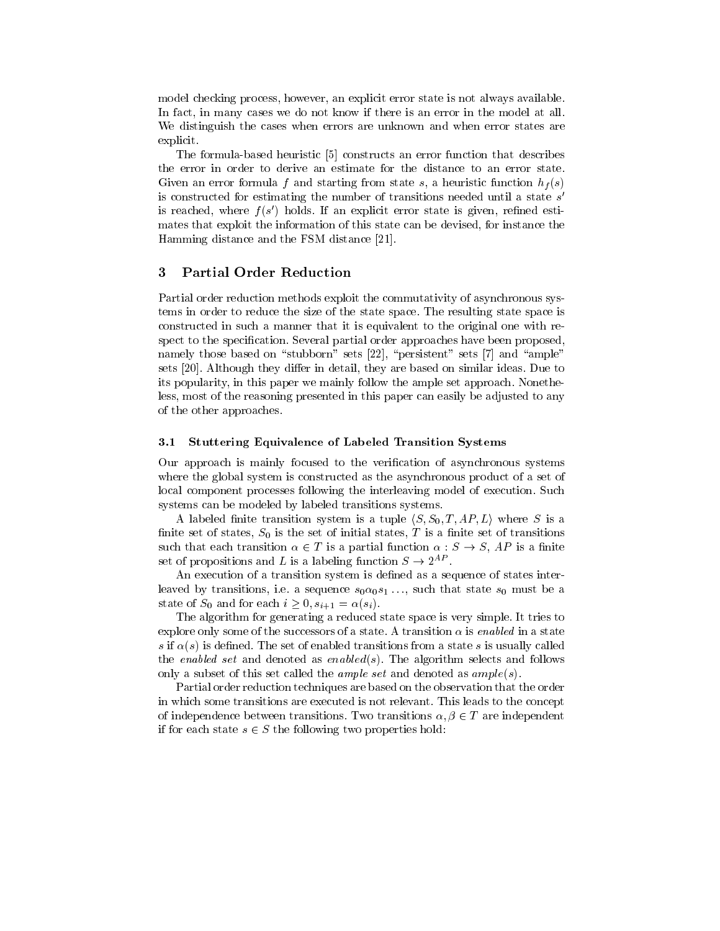model checking process, however, an explicit error state is not always available. In fact, in many cases we do not know if there is an error in the model at all. We distinguish the cases when errors are unknown and when error states are explicit.

The formula-based heuristic [5] constructs an error function that describes the error in order to derive an estimate for the distance to an error state. Given an error formula f and starting from state s, a heuristic function  $h_f(s)$ is constructed for estimating the number of transitions needed until a state  $s$ is reached, where f (s 0) holds. If an explicit error state is given, rened estimates that exploit the information of this state can be devised, for instance the Hamming distance and the FSM distance [21].

#### 3Partial Order Reduction

Partial order reduction methods exploit the commutativity of asynchronous systems in order to reduce the size of the state space. The resulting state space is constructed in such a manner that it is equivalent to the original one with respect to the specification. Several partial order approaches have been proposed. namely those based on "stubborn" sets  $[22]$ , "persistent" sets  $[7]$  and "ample" sets [20]. Although they differ in detail, they are based on similar ideas. Due to its popularity, in this paper we mainly follow the ample set approach. Nonetheless, most of the reasoning presented in this paper can easily be adjusted to any of the other approaches.

## 3.1 Stuttering Equivalence of Labeled Transition Systems

Our approach is mainly focused to the verification of asynchronous systems where the global system is constructed as the asynchronous product of a set of local component processes following the interleaving model of execution. Such systems can be modeled by labeled transitions systems.

A labeled finite transition system is a tuple  $\langle S, S_0, T, AP, L \rangle$  where S is a finite set of states,  $S_0$  is the set of initial states, T is a finite set of transitions such that each transition  $\alpha \in T$  is a partial function  $\alpha : S \to S$ , AP is a finite set of propositions and L is a labeling function  $S \to 2^{A2}$  .

An execution of a transition system is defined as a sequence of states interleaved by transitions, i.e. a sequence  $s_0 \alpha_0 s_1 \ldots$ , such that state  $s_0$  must be a state of  $S_0$  and for each  $i \geq 0$ ,  $s_{i+1} = \alpha(s_i)$ .

The algorithm for generating a reduced state space is very simple. It tries to explore only some of the successors of a state. A transition  $\alpha$  is enabled in a state s if  $\alpha(s)$  is defined. The set of enabled transitions from a state s is usually called the enabled set and denoted as enabled $(s)$ . The algorithm selects and follows only a subset of this set called the *ample set* and denoted as  $ample(s)$ .

Partial order reduction techniques are based on the observation that the order in which some transitions are executed is not relevant. This leads to the concept of independence between transitions. Two transitions  $\alpha, \beta \in T$  are independent if for each state  $s \in S$  the following two properties hold: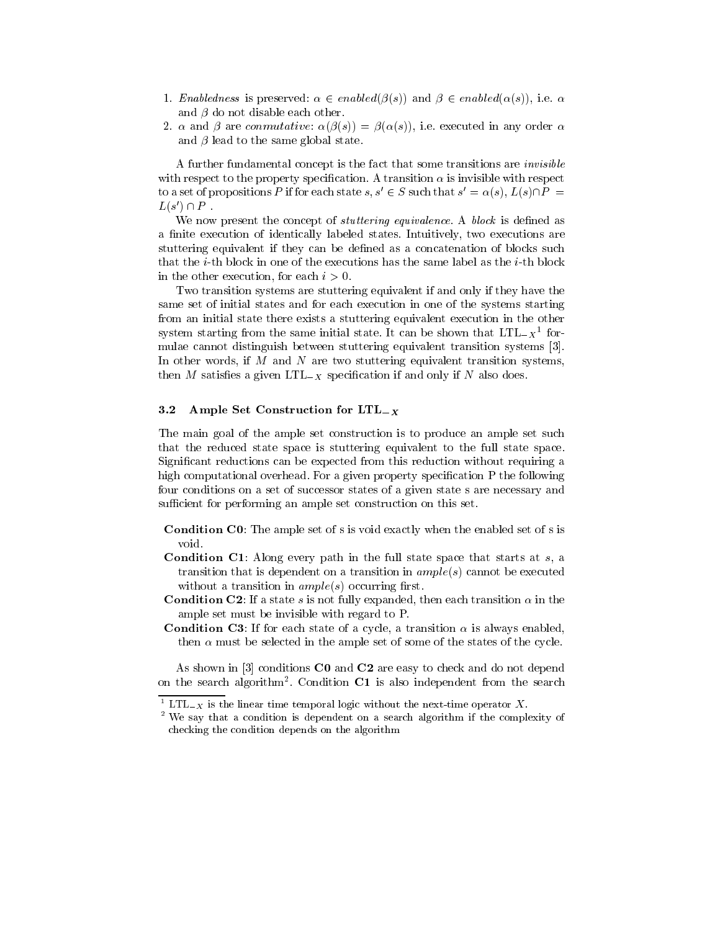- 1. Enabledness is preserved:  $\alpha \in enabled(\beta(s))$  and  $\beta \in enabled(\alpha(s))$ , i.e.  $\alpha$ and  $\beta$  do not disable each other.
- 2.  $\alpha$  and  $\beta$  are conmutative:  $\alpha(\beta(s)) = \beta(\alpha(s))$ , i.e. executed in any order  $\alpha$ and  $\beta$  lead to the same global state.

A further fundamental concept is the fact that some transitions are invisible with respect to the property specification. A transition  $\alpha$  is invisible with respect to a set of propositions P if for each state  $s, s' \in S$  such that  $s' = \alpha(s), L(s) \cap P =$  $L(s') \cap P$  .

We now present the concept of *stuttering equivalence*. A *block* is defined as a finite execution of identically labeled states. Intuitively, two executions are stuttering equivalent if they can be defined as a concatenation of blocks such that the *i*-th block in one of the executions has the same label as the *i*-th block in the other execution, for each  $i > 0$ .

Two transition systems are stuttering equivalent if and only if they have the same set of initial states and for each execution in one of the systems starting from an initial state there exists a stuttering equivalent execution in the other system starting from the same initial state. It can be shown that  $L/L = X^{\pm}$  formulae cannot distinguish between stuttering equivalent transition systems [3]. In other words, if  $M$  and  $N$  are two stuttering equivalent transition systems, then M satisfies a given  $LTL_{-X}$  specification if and only if N also does.

#### 3.2 Ample Set Construction for  $LTL_x$

The main goal of the ample set construction is to produce an ample set such that the reduced state space is stuttering equivalent to the full state space. Signicant reductions can be expected from this reduction without requiring a high computational overhead. For a given property specification P the following four conditions on a set of successor states of a given state s are necessary and sufficient for performing an ample set construction on this set.

- Condition C0: The ample set of s is void exactly when the enabled set of s is void.
- **Condition C1**: Along every path in the full state space that starts at  $s$ , a transition that is dependent on a transition in  $ample(s)$  cannot be executed without a transition in  $ample(s)$  occurring first.
- **Condition C2**: If a state s is not fully expanded, then each transition  $\alpha$  in the ample set must be invisible with regard to P.
- **Condition C3**: If for each state of a cycle, a transition  $\alpha$  is always enabled, then  $\alpha$  must be selected in the ample set of some of the states of the cycle.

As shown in [3] conditions C0 and C2 are easy to check and do not depend on the search algorithm . Condition  $\mathbf{C1}$  is also independent from the search

 $1 \text{L} \text{L}$  is the linear time temporal logic without the next-time operator  $X$ .

<sup>2</sup> We say that a condition is dependent on a search algorithm if the complexity of checking the condition depends on the algorithm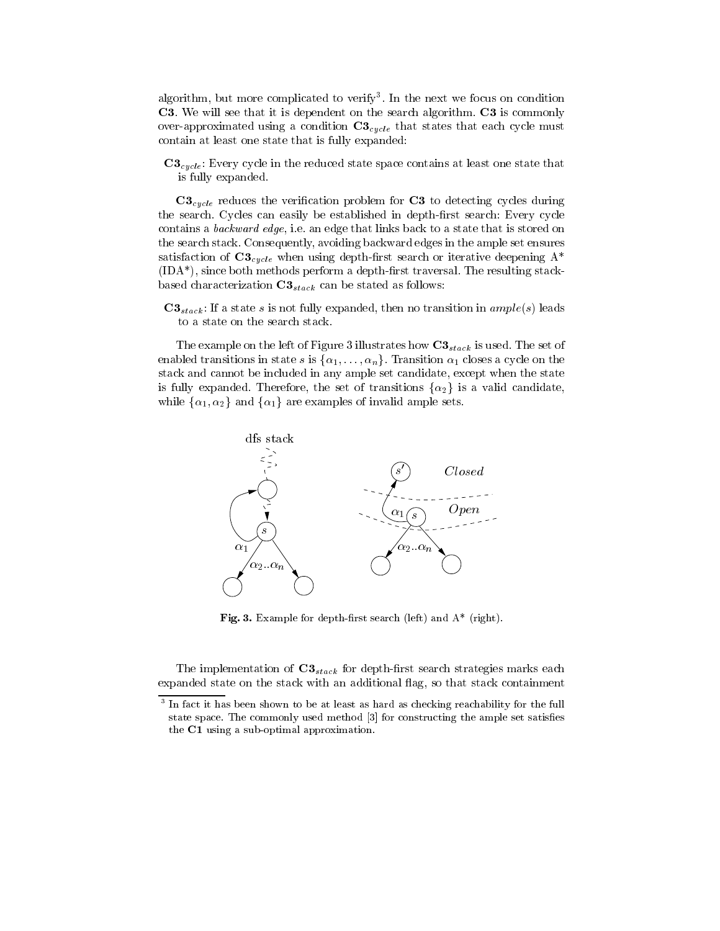algorithm, but more complicated to verify". In the next we focus on condition C3. We will see that it is dependent on the search algorithm. C3 is commonly over-approximated using a condition  $C3_{cycle}$  that states that each cycle must contain at least one state that is fully expanded:

 $C3_{cycle}$ : Every cycle in the reduced state space contains at least one state that is fully expanded.

 $C3_{cycle}$  reduces the verification problem for  $C3$  to detecting cycles during the search. Cycles can easily be established in depth-first search: Every cycle contains a backward edge, i.e. an edge that links back to a state that is stored on the search stack. Consequently, avoiding backward edges in the ample set ensures satisfaction of  $C3_{cycle}$  when using depth-first search or iterative deepening  $A^*$  $(IDA^*)$ , since both methods perform a depth-first traversal. The resulting stackbased characterization  $C3_{stack}$  can be stated as follows:

 $C3_{stack}$ : If a state s is not fully expanded, then no transition in  $ample(s)$  leads to a state on the search stack.

The example on the left of Figure 3 illustrates how  $C3_{stack}$  is used. The set of enabled transitions in state s is  $\{\alpha_1,\ldots,\alpha_n\}$ . Transition  $\alpha_1$  closes a cycle on the stack and cannot be included in any ample set candidate, except when the state is fully expanded. Therefore, the set of transitions  $\{\alpha_2\}$  is a valid candidate, while  $\{\alpha_1, \alpha_2\}$  and  $\{\alpha_1\}$  are examples of invalid ample sets.



Fig. 3. Example for depth-first search (left) and  $A^*$  (right).

The implementation of  $C3_{stack}$  for depth-first search strategies marks each expanded state on the stack with an additional flag, so that stack containment

<sup>3</sup> In fact it has been shown to be at least as hard as checking reachability for the full state space. The commonly used method [3] for constructing the ample set satises the C1 using a sub-optimal approximation.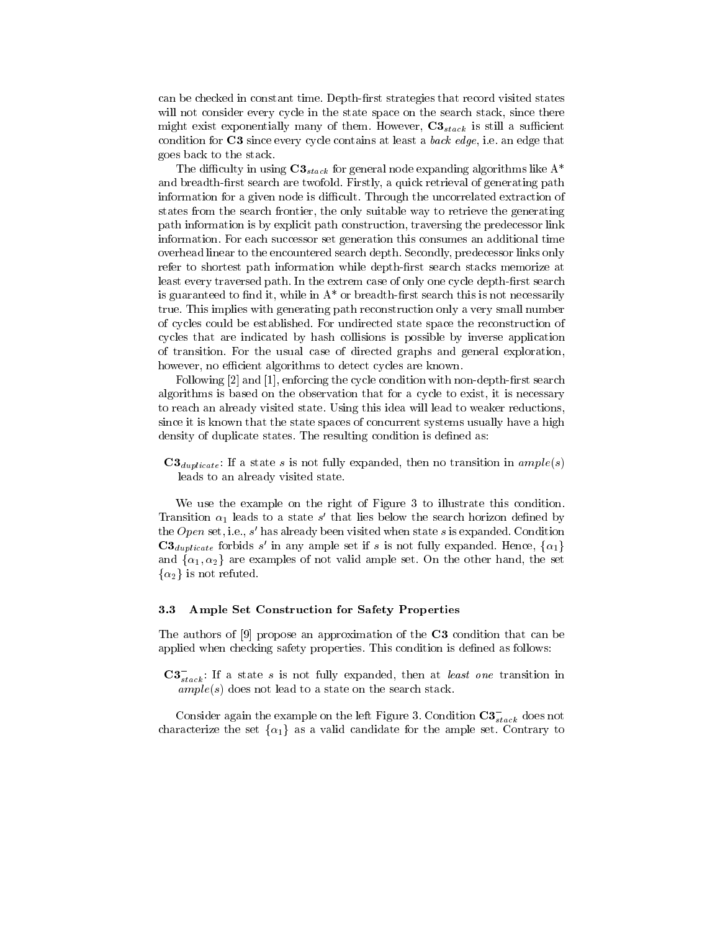can be checked in constant time. Depth-first strategies that record visited states will not consider every cycle in the state space on the search stack, since there might exist exponentially many of them. However,  $\mathbf{C3}_{stack}$  is still a sufficient condition for C3 since every cycle contains at least a back edge, i.e. an edge that goes back to the stack.

The difficulty in using  $C3_{stack}$  for general node expanding algorithms like  $A^*$ and breadth-first search are twofold. Firstly, a quick retrieval of generating path information for a given node is difficult. Through the uncorrelated extraction of states from the search frontier, the only suitable way to retrieve the generating path information is by explicit path construction, traversing the predecessor link information. For each successor set generation this consumes an additional time overhead linear to the encountered search depth. Secondly, predecessor links only refer to shortest path information while depth-first search stacks memorize at least every traversed path. In the extrem case of only one cycle depth-first search is guaranteed to find it, while in  $A^*$  or breadth-first search this is not necessarily true. This implies with generating path reconstruction only a very small number of cycles could be established. For undirected state space the reconstruction of cycles that are indicated by hash collisions is possible by inverse application of transition. For the usual case of directed graphs and general exploration, however, no efficient algorithms to detect cycles are known.

Following  $[2]$  and  $[1]$ , enforcing the cycle condition with non-depth-first search algorithms is based on the observation that for a cycle to exist, it is necessary to reach an already visited state. Using this idea will lead to weaker reductions, since it is known that the state spaces of concurrent systems usually have a high density of duplicate states. The resulting condition is defined as:

 $C3_{dupiter}$ : If a state s is not fully expanded, then no transition in  $ample(s)$ leads to an already visited state.

We use the example on the right of Figure 3 to illustrate this condition. Transition  $\alpha_1$  leads to a state  $s$  -that lies below the search horizon defined by the  $Open$  set, i.e.,  $s$  -has already been visited when state  $s$  is expanded. Condition  $C3_{dupiterate}$  forbids s' in any ample set if s is not fully expanded. Hence,  $\{\alpha_1\}$ and  $\{\alpha_1,\alpha_2\}$  are examples of not valid ample set. On the other hand, the set  $\{\alpha_2\}$  is not refuted.

#### Ample Set Construction for Safety Properties  $3.3$

The authors of [9] propose an approximation of the C3 condition that can be applied when checking safety properties. This condition is defined as follows:

 $\mathbf{C3}_{stack}$ : If a state s is not fully expanded, then at *least one* transition in  $ample(s)$  does not lead to a state on the search stack.

Consider again the example on the left Figure 3. Condition  $\mathbf{G}_{stack}$  does not characterize the set  $\{\alpha_1\}$  as a valid candidate for the ample set. Contrary to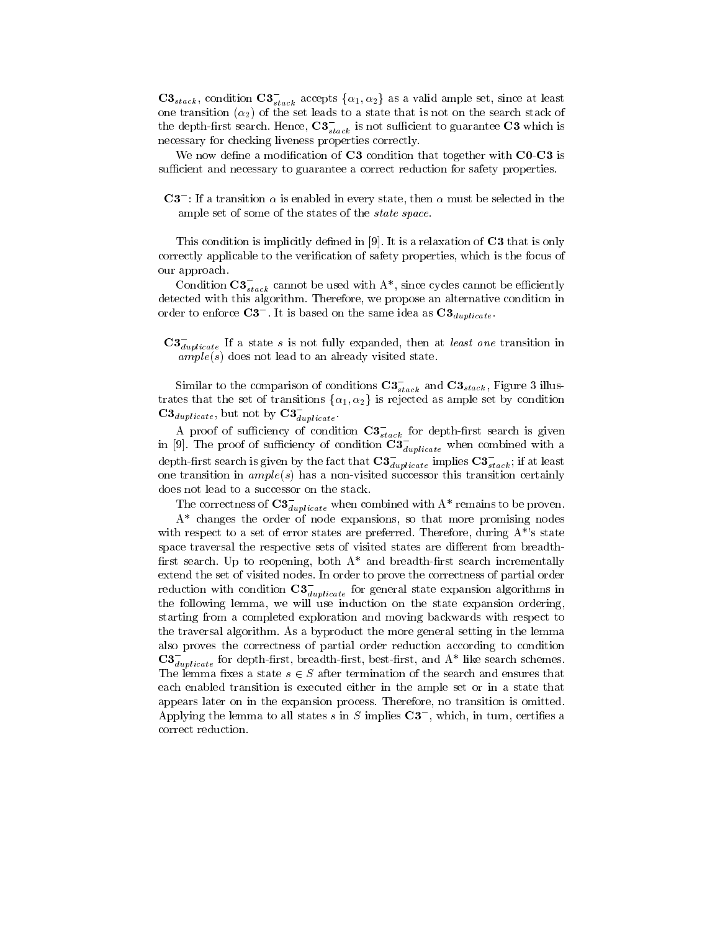$C3_{stack}$ , condition  $C3_{stack}^-$  accepts  $\{\alpha_1,\alpha_2\}$  as a valid ample set, since at least one transition  $(\alpha_2)$  of the set leads to a state that is not on the search stack of the depth-first search. Hence,  $\mathbf{C3}_{stack}$  is not sufficient to guarantee  $\mathbf{C3}$  which is necessary for checking liveness properties correctly.

We now define a modification of  $C3$  condition that together with  $C0-C3$  is sufficient and necessary to guarantee a correct reduction for safety properties.

 $\mathbb{C}$ <sup>3</sup> : If a transition  $\alpha$  is enabled in every state, then  $\alpha$  must be selected in the ample set of some of the states of the state space.

This condition is implicitly defined in [9]. It is a relaxation of **C3** that is only correctly applicable to the verification of safety properties, which is the focus of our approach.

Condition  $\mathbf{C}\boldsymbol{\delta}_{stack}$  cannot be used with A\*, since cycles cannot be emclently detected with this algorithm. Therefore, we propose an alternative condition in order to enforce  $\mathbf{C3}$  . It is based on the same idea as  $\mathbf{C3}_{d}\alpha_{nlicative}$ 

 $\mathbf{G}_{dunlicate}$  If a state s is not fully expanded, then at *least one* transition in  $ample(s)$  does not lead to an already visited state.

Similar to the comparison of conditions  $\mathbf{G}_{stack}$  and  $\mathbf{G}_{stack}$ , Figure 3 illustrates that the set of transitions  $\{\alpha_1,\alpha_2\}$  is rejected as ample set by condition  $\mathbf{C5}_{duplicate}$ , but not by  $\mathbf{C5}_{duplicate}$ .

A proof of sufficiency of condition  $\mathbf{G}_{stack}$  for depth-first search is given in [9]. The proof of sufficiency of condition  $\mathbf{C3}_{double}$  when combined with a depth-first search is given by the fact that  $\mathbf{G}_{dunlicate}$  implies  $\mathbf{G}_{stack}$ ; if at least one transition in  $ample(s)$  has a non-visited successor this transition certainly does not lead to a successor on the stack.

The correctness of  $\mathbf{C3}_{dunlicate}$  when combined with  $\mathrm{A}^{+}$  remains to be proven.

A\* changes the order of node expansions, so that more promising nodes with respect to a set of error states are preferred. Therefore, during  $A^*$ 's state space traversal the respective sets of visited states are different from breadthfirst search. Up to reopening, both  $A^*$  and breadth-first search incrementally extend the set of visited nodes. In order to prove the correctness of partial order reduction with condition  $\mathbf{C3}_{dunlicate}$  for general state expansion algorithms in the following lemma, we will use induction on the state expansion ordering, starting from a completed exploration and moving backwards with respect to the traversal algorithm. As a byproduct the more general setting in the lemma also proves the correctness of partial order reduction according to condition  $\mathbf{C3}_{dunlicate}$  for depth-first, breadth-first, best-first, and A\* like search schemes. The lemma fixes a state  $s \in S$  after termination of the search and ensures that each enabled transition is executed either in the ample set or in a state that appears later on in the expansion process. Therefore, no transition is omitted. Applying the lemma to all states  $s$  in  $\beta$  implies  $\mathbb{C}$  , which, in turn, certilies a correct reduction.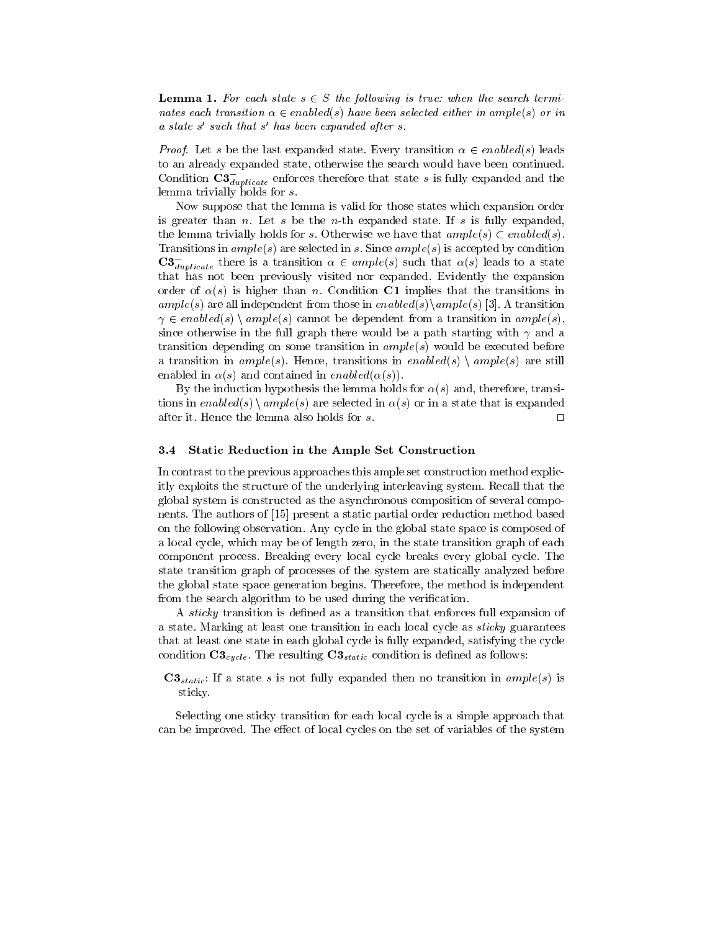**Lemma 1.** For each state  $s \in S$  the following is true: when the search terminates each transition  $\alpha \in enabled(s)$  have been selected either in ample(s) or in a state s 0 such that s 0 has been expanded after s.

*Proof.* Let s be the last expanded state. Every transition  $\alpha \in enabled(s)$  leads to an already expanded state, otherwise the search would have been continued. Condition  $\mathbf{G}_{dunlicate}^{\mathcal{I}}$  enforces therefore that state s is fully expanded and the lemma trivially holds for s.

Now suppose that the lemma is valid for those states which expansion order is greater than n. Let s be the n-th expanded state. If s is fully expanded, the lemma trivially holds for s. Otherwise we have that  $ample(s) \subset enabled(s)$ . Transitions in  $ample(s)$  are selected in s. Since  $ample(s)$  is accepted by condition  $\mathtt{C3}_{dunlicate}$  there is a transition  $\alpha \in ample(s)$  such that  $\alpha(s)$  leads to a state that has not been previously visited nor expanded. Evidently the expansion order of  $\alpha(s)$  is higher than n. Condition C1 implies that the transitions in ample(s) are all independent from those in enabled(s)\ample(s) [3]. A transition  $\gamma \in enabled(s) \setminus ample(s)$  cannot be dependent from a transition in  $ample(s)$ , since otherwise in the full graph there would be a path starting with  $\gamma$  and a transition depending on some transition in  $ample(s)$  would be executed before a transition in  $ample(s)$ . Hence, transitions in enabled(s) \ ample(s) are still enabled in  $\alpha(s)$  and contained in enabled( $\alpha(s)$ ).

By the induction hypothesis the lemma holds for  $\alpha(s)$  and, therefore, transitions in enabled(s)  $\langle ample(s)$  are selected in  $\alpha(s)$  or in a state that is expanded after it. Hence the lemma also holds for s.  $\Box$ 

#### 3.4 Static Reduction in the Ample Set Construction

In contrast to the previous approaches this ample set construction method explicitly exploits the structure of the underlying interleaving system. Recall that the global system is constructed as the asynchronous composition of several components. The authors of [15] present a static partial order reduction method based on the following observation. Any cycle in the global state space is composed of a local cycle, which may be of length zero, in the state transition graph of each component process. Breaking every local cycle breaks every global cycle. The state transition graph of processes of the system are statically analyzed before the global state space generation begins. Therefore, the method is independent from the search algorithm to be used during the verification.

A *sticky* transition is defined as a transition that enforces full expansion of a state. Marking at least one transition in each local cycle as sticky guarantees that at least one state in each global cycle is fully expanded, satisfying the cycle condition  $C3_{cycle}$ . The resulting  $C3_{static}$  condition is defined as follows:

 $C3_{static}$ : If a state s is not fully expanded then no transition in  $ample(s)$  is sticky.

Selecting one sticky transition for each local cycle is a simple approach that can be improved. The effect of local cycles on the set of variables of the system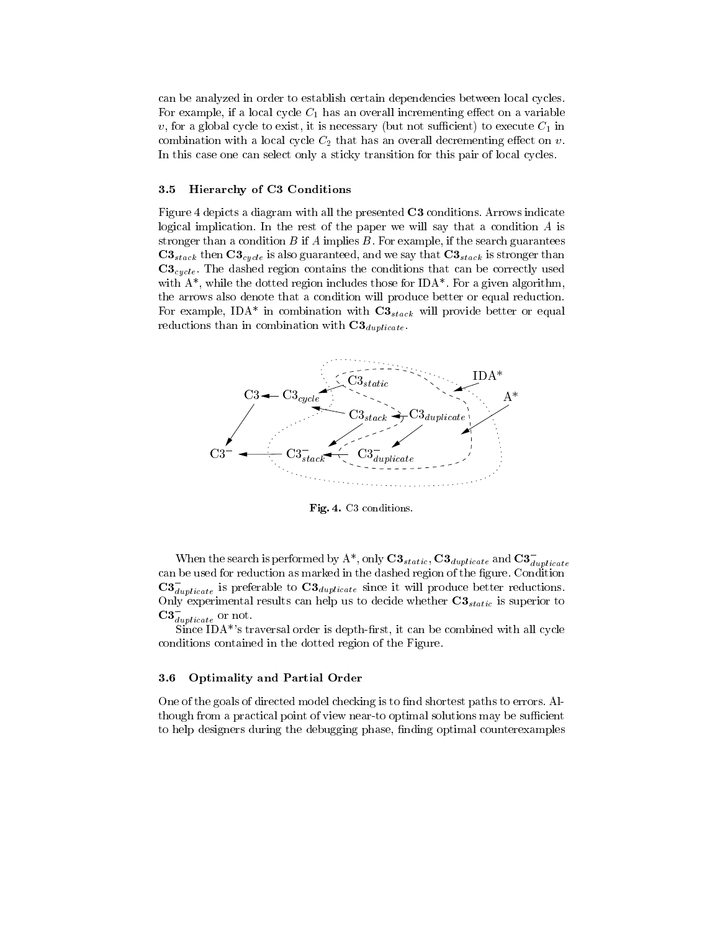can be analyzed in order to establish certain dependencies between local cycles. For example, if a local cycle  $C_1$  has an overall incrementing effect on a variable v, for a global cycle to exist, it is necessary (but not sufficient) to execute  $C_1$  in combination with a local cycle  $C_2$  that has an overall decrementing effect on v. In this case one can select only a sticky transition for this pair of local cycles.

### 3.5 Hierarchy of C3 Conditions

Figure 4 depicts a diagram with all the presented C3 conditions. Arrows indicate logical implication. In the rest of the paper we will say that a condition A is stronger than a condition B if A implies B. For example, if the search guarantees  $C3_{stack}$  then  $C3_{cycle}$  is also guaranteed, and we say that  $C3_{stack}$  is stronger than  $C3_{cycle}$ . The dashed region contains the conditions that can be correctly used with  $A^*$ , while the dotted region includes those for IDA\*. For a given algorithm, the arrows also denote that a condition will produce better or equal reduction. For example, IDA\* in combination with  $C3_{stack}$  will provide better or equal reductions than in combination with  $C3_{duplicate}$ .



Fig. 4. C3 conditions.

When the search is performed by A<sup>\*</sup>, only  $\cup \mathcal{S}_{static}, \cup \mathcal{S}_{duplicate}$  and  $\cup \mathcal{S}_{duplicate}$ can be used for reduction as marked in the dashed region of the figure. Condition  $\mathbf{C3}_{dunlicate}$  is preferable to  $\mathbf{C3}_{duplicate}$  since it will produce better reductions. Only experimental results can help us to decide whether  $C3_{static}$  is superior to  $\mathbf{G}_{dunlicate}$  or not.

 $Since IDA<sup>*</sup>'s traversal order is depth-first, it can be combined with all cycle$ conditions contained in the dotted region of the Figure.

## 3.6 Optimality and Partial Order

One of the goals of directed model checking is to find shortest paths to errors. Although from a practical point of view near-to optimal solutions may be sufficient to help designers during the debugging phase, finding optimal counterexamples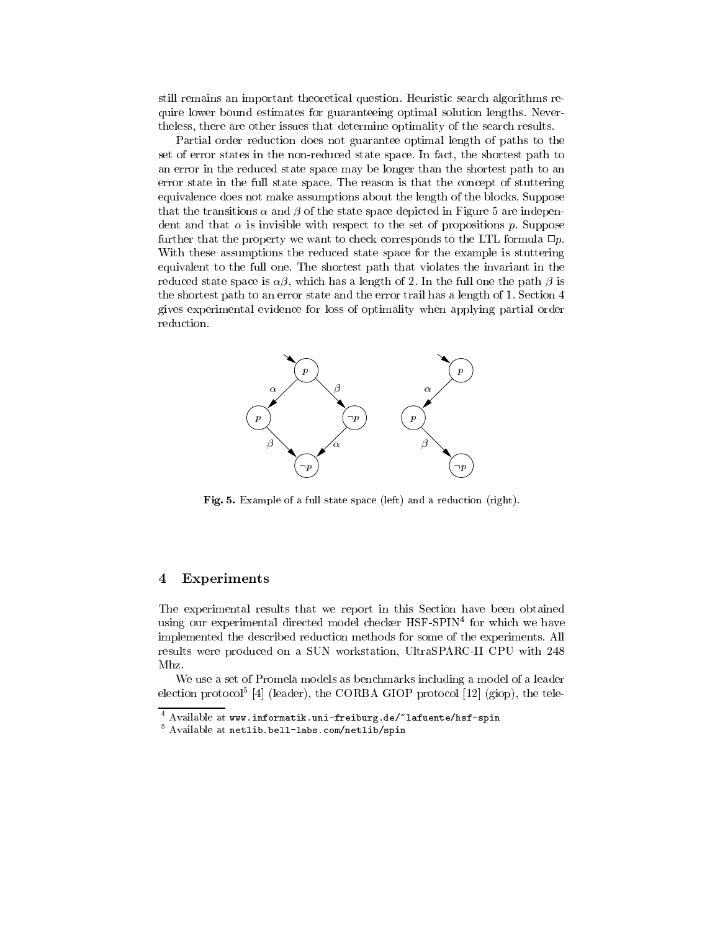still remains an important theoretical question. Heuristic search algorithms require lower bound estimates for guaranteeing optimal solution lengths. Nevertheless, there are other issues that determine optimality of the search results.

Partial order reduction does not guarantee optimal length of paths to the set of error states in the non-reduced state space. In fact, the shortest path to an error in the reduced state space may be longer than the shortest path to an error state in the full state space. The reason is that the concept of stuttering equivalence does not make assumptions about the length of the blocks. Suppose that the transitions  $\alpha$  and  $\beta$  of the state space depicted in Figure 5 are independent and that  $\alpha$  is invisible with respect to the set of propositions p. Suppose further that the property we want to check corresponds to the LTL formula  $\Box p$ . With these assumptions the reduced state space for the example is stuttering equivalent to the full one. The shortest path that violates the invariant in the reduced state space is  $\alpha\beta$ , which has a length of 2. In the full one the path  $\beta$  is the shortest path to an error state and the error trail has a length of 1. Section 4 gives experimental evidence for loss of optimality when applying partial order reduction.



Fig. 5. Example of a full state space (left) and a reduction (right).

#### 4Experiments

The experimental results that we report in this Section have been obtained using our experimental directed model checker HSF-SPIN<sup>4</sup> for which we have implemented the described reduction methods for some of the experiments. All results were produced on a SUN workstation, UltraSPARC-II CPU with 248 Mhz.

We use a set of Promela models as benchmarks including a model of a leader election protocol<sup>-</sup> [4] (leader), the CORBA GIOP protocol [12] (giop), the tele-

<sup>4</sup> Available at www.informatik.uni-freiburg.de/~lafuente/hsf-spin

<sup>5</sup> Available at netlib.bell-labs.com/netlib/spin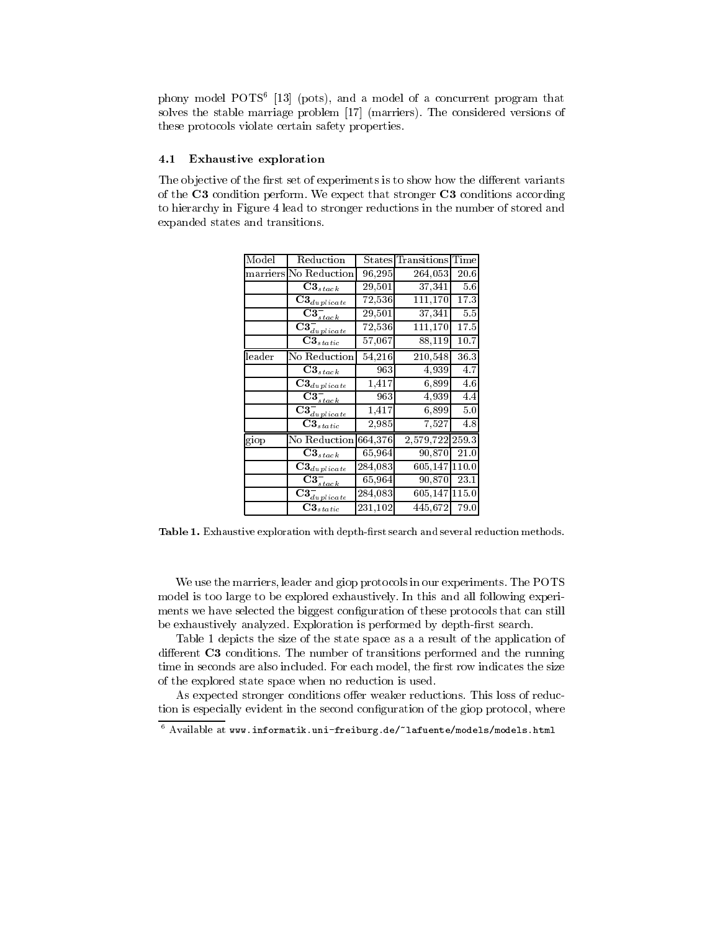phony model POTS<sup>6</sup> [13] (pots), and a model of a concurrent program that solves the stable marriage problem [17] (marriers). The considered versions of these protocols violate certain safety properties.

## 4.1 Exhaustive exploration

The objective of the first set of experiments is to show how the different variants of the C3 condition perform. We expect that stronger C3 conditions according to hierarchy in Figure 4 lead to stronger reductions in the number of stored and expanded states and transitions.

| Model    | Reduction                                                |         | States Transitions | Time  |
|----------|----------------------------------------------------------|---------|--------------------|-------|
| marriers | No Reduction                                             | 96,295  | 264,053            | 20.6  |
|          | $\textbf{C3}_{stack}$                                    | 29,501  | 37,341             | 5.6   |
|          | $\mathbf{\bar{C}}\mathbf{3}_{duplicate}$                 | 72,536  | 111,170            | 17.3  |
|          | $\overline{\mathbf{C}}\mathbf{3}_{stack}^{-}$            | 29,501  | 37,341             | 5.5   |
|          | $\overline{\mathbf{C}}\mathbf{3}_{\textit{duplicate}}^-$ | 72,536  | 111,170            | 17.5  |
|          | $\textbf{C3}_{static}$                                   | 57,067  | 88,119             | 10.7  |
| leader   | No Reduction                                             | 54,216  | 210,548            | 36.3  |
|          | $\mathbf{C3}_{stack}$                                    | 963     | 4,939              | 4.7   |
|          | $\mathbf{\overline{C3}}_{duplicate}$                     | 1,417   | 6,899              | 4.6   |
|          | $\overline{\textbf{C3}}_{stack}^{-}$                     | 963     | 4,939              | 4.4   |
|          | $\overline{\mathbf{C}} \mathbf{3}_{\frac{{aplicate}{}}{$ | 1,417   | 6,899              | 5.0   |
|          | $\mathbf{\bar{C3}}_{static}$                             | 2,985   | 7,527              | 4.8   |
| giop     | No Reduction 664,376                                     |         | 2,579,722          | 2593  |
|          | $\mathbf{C3}_{stack}$                                    | 65,964  | 90,870             | 21.0  |
|          | $\mathbf{C3}_{dupliete}$                                 | 284,083 | 605,147            | 110.0 |
|          | $\mathbf{C3}_{stack}^-$                                  | 65,964  | 90,870             | 23.1  |
|          | $\overline{\textbf{C}} \textbf{3}_{\frac{duplicate}{}}$  | 284,083 | 605,147            | 115.0 |
|          | $\mathbf{\bar{C3}}_{static}$                             | 231,102 | 445,672            | 79.0  |

Table 1. Exhaustive exploration with depth-first search and several reduction methods.

We use the marriers, leader and giop protocols in our experiments. The POTS model is too large to be explored exhaustively. In this and all following experiments we have selected the biggest configuration of these protocols that can still be exhaustively analyzed. Exploration is performed by depth-first search.

Table 1 depicts the size of the state space as a a result of the application of different  $C3$  conditions. The number of transitions performed and the running time in seconds are also included. For each model, the first row indicates the size of the explored state space when no reduction is used.

As expected stronger conditions offer weaker reductions. This loss of reduction is especially evident in the second configuration of the giop protocol, where

<sup>6</sup> Available at www.informatik.uni-freiburg.de/~lafuente/models/models.html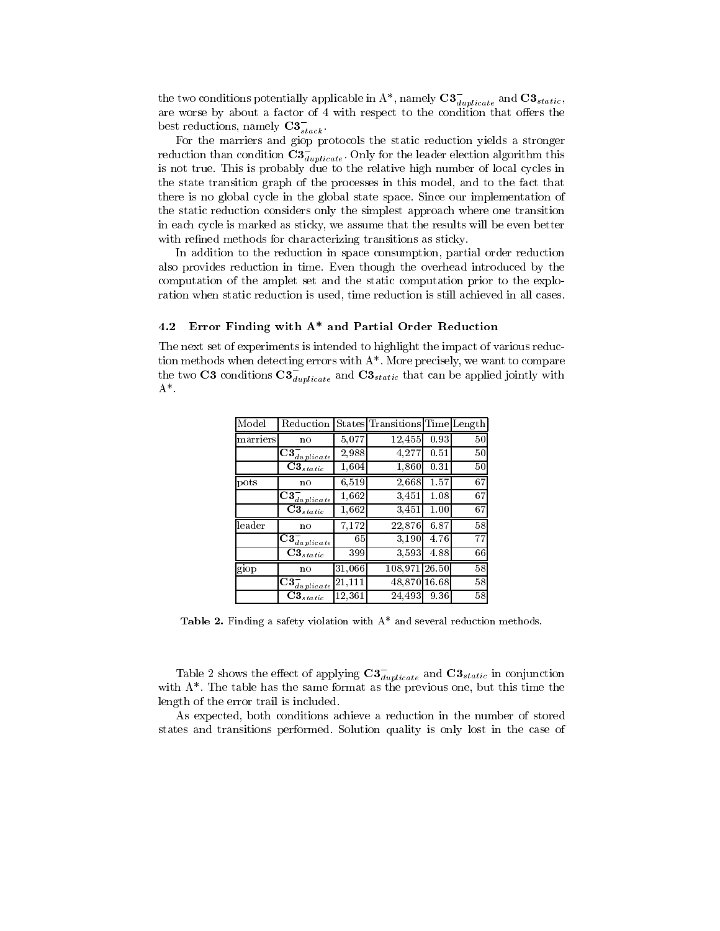the two conditions potentially applicable in A\*, namely  $\mathbf{C3}_{dunlicate}$  and  $\mathbf{C3}_{static}$ , are worse by about a factor of 4 with respect to the condition that offers the best reductions, namely  ${\bf C3}_{stack}$ .

For the marriers and giop protocols the static reduction yields a stronger reduction than condition  $\mathbf{G}_{dumblicate}$ . Only for the leader election algorithm this is not true. This is probably due to the relative high number of local cycles in the state transition graph of the processes in this model, and to the fact that there is no global cycle in the global state space. Since our implementation of the static reduction considers only the simplest approach where one transition in each cycle is marked as sticky, we assume that the results will be even better with refined methods for characterizing transitions as sticky.

In addition to the reduction in space consumption, partial order reduction also provides reduction in time. Even though the overhead introduced by the computation of the amplet set and the static computation prior to the exploration when static reduction is used, time reduction is still achieved in all cases.

## 4.2 Error Finding with A\* and Partial Order Reduction

The next set of experiments is intended to highlight the impact of various reduction methods when detecting errors with  $A^*$ . More precisely, we want to compare the two  ${\mathbf C}$ 3 conditions  ${\mathbf C}$ 3  $_{dunlicate}$  and  ${\mathbf C}$ 3 $_{static}$  that can be applied jointly with  $A^*$ .

| Model    | Reduction                                                               |        | States Transitions Time Length |       |    |
|----------|-------------------------------------------------------------------------|--------|--------------------------------|-------|----|
| marriers | no                                                                      | 5,077  | 12,455                         | 0.93  | 50 |
|          | $\overline{\text{C3}}_{\frac{duplicate}{}}$                             | 2,988  | 4,277                          | 0.51  | 50 |
|          | $\mathbf{C3}_{static}$                                                  | 1,604  | 1,860                          | 0.31  | 50 |
| pots     | no                                                                      | 6,519  | 2,668                          | 1.57  | 67 |
|          | $\overline{\text{C3}}_{\frac{duplicate}{}}$                             | 1,662  | 3.451                          | 1.08  | 67 |
|          | $\textbf{C3}_{static}$                                                  | 1,662  | 3,451                          | 1.00  | 67 |
| leader   | no                                                                      | 7,172  | 22,876                         | 6.87  | 58 |
|          | $\bar{{\bf C3}}_{\it duplicate}^-$                                      | 65     | 3.190                          | 4.76  | 77 |
|          | $\textbf{C3}_{static}$                                                  | 399    | 3,593                          | 4.88  | 66 |
| giop     | no                                                                      | 31,066 | 108,971                        | 26.50 | 58 |
|          | $\overline{\textbf{C3}}_{\overline{d} \underbar{\textit{u}}_P$ licate l | 21,111 | 48,870                         | 16.68 | 58 |
|          | $C3_{static}$                                                           | 12,361 | 24,493                         | 9.36  | 58 |

Table 2. Finding a safety violation with  $A^*$  and several reduction methods.

Table 2 shows the effect of applying  $\mathcal{L} \mathcal{A}_{dunlicate}$  and  $\mathcal{L} \mathcal{A}_{static}$  in conjunction with A\*. The table has the same format as the previous one, but this time the length of the error trail is included.

As expected, both conditions achieve a reduction in the number of stored states and transitions performed. Solution quality is only lost in the case of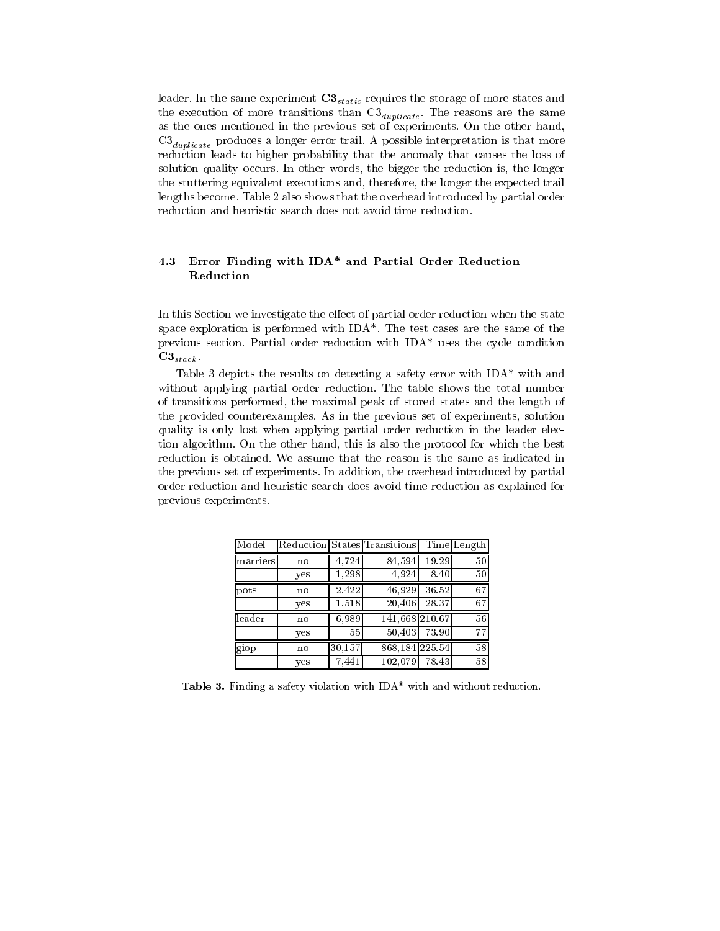leader. In the same experiment  $C3_{static}$  requires the storage of more states and the execution of more transitions than  $\mathrm{C3}_{dunlicate}$ . The reasons are the same as the ones mentioned in the previous set of experiments. On the other hand,  $\mathrm{C3}_{dunlicate}$  produces a longer error trail. A possible interpretation is that more reduction leads to higher probability that the anomaly that causes the loss of solution quality occurs. In other words, the bigger the reduction is, the longer the stuttering equivalent executions and, therefore, the longer the expected trail lengths become. Table 2 also shows that the overhead introduced by partial order reduction and heuristic search does not avoid time reduction.

# 4.3 Error Finding with IDA\* and Partial Order Reduction

In this Section we investigate the effect of partial order reduction when the state space exploration is performed with IDA\*. The test cases are the same of the previous section. Partial order reduction with IDA\* uses the cycle condition  $C3_{stack}$ 

Table 3 depicts the results on detecting a safety error with IDA\* with and without applying partial order reduction. The table shows the total number of transitions performed, the maximal peak of stored states and the length of the provided counterexamples. As in the previous set of experiments, solution quality is only lost when applying partial order reduction in the leader election algorithm. On the other hand, this is also the protocol for which the best reduction is obtained. We assume that the reason is the same as indicated in the previous set of experiments. In addition, the overhead introduced by partial order reduction and heuristic search does avoid time reduction as explained for previous experiments.

| Model    |     |        | Reduction States Transitions |       | TimeLength      |
|----------|-----|--------|------------------------------|-------|-----------------|
| marriers | no  | 4,724  | 84,594                       | 19.29 | 50              |
|          | yes | 1,298  | 4,924                        | 8.40  | 50              |
| pots     | no  | 2,422  | 46,929                       | 36.52 | $\overline{6}7$ |
|          | yes | 1,518  | 20,406                       | 28.37 | 67              |
| leader   | no  | 6,989  | 141,668 210.67               |       | 56              |
|          | yes | 55     | 50.403                       | 73.90 | 77              |
| giop     | no  | 30,157 | 868, 184 225.54              |       | $\overline{58}$ |
|          | yes | 7.441  | 102,079                      | 78.43 | 58              |

Table 3. Finding a safety violation with IDA\* with and without reduction.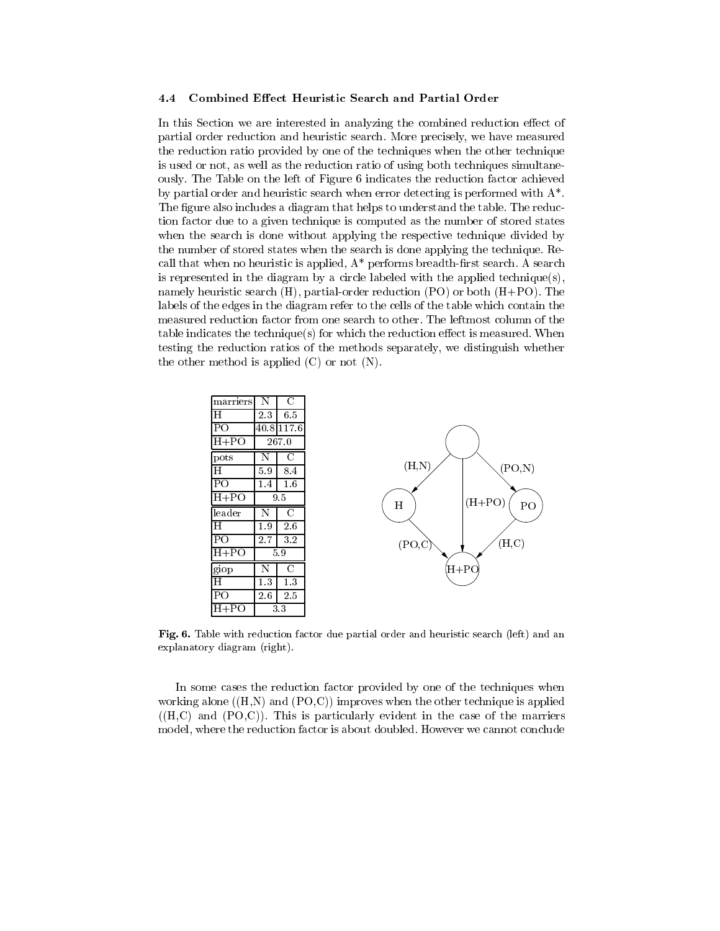#### 4.4 Combined Effect Heuristic Search and Partial Order

In this Section we are interested in analyzing the combined reduction effect of partial order reduction and heuristic search. More precisely, we have measured the reduction ratio provided by one of the techniques when the other technique is used or not, as well as the reduction ratio of using both techniques simultaneously. The Table on the left of Figure 6 indicates the reduction factor achieved by partial order and heuristic search when error detecting is performed with A\*. The figure also includes a diagram that helps to understand the table. The reduction factor due to a given technique is computed as the number of stored states when the search is done without applying the respective technique divided by the number of stored states when the search is done applying the technique. Recall that when no heuristic is applied,  $A^*$  performs breadth-first search. A search is represented in the diagram by a circle labeled with the applied technique(s), namely heuristic search (H), partial-order reduction (PO) or both (H+PO). The labels of the edges in the diagram refer to the cells of the table which contain the measured reduction factor from one search to other. The leftmost column of the table indicates the technique(s) for which the reduction effect is measured. When testing the reduction ratios of the methods separately, we distinguish whether the other method is applied (C) or not (N).



Fig. 6. Table with reduction factor due partial order and heuristic search (left) and an explanatory diagram (right).

In some cases the reduction factor provided by one of the techniques when working alone  $((H,N)$  and  $(PO,C)$  improves when the other technique is applied  $((H,C)$  and  $(PO,C)$ ). This is particularly evident in the case of the marriers model, where the reduction factor is about doubled. However we cannot conclude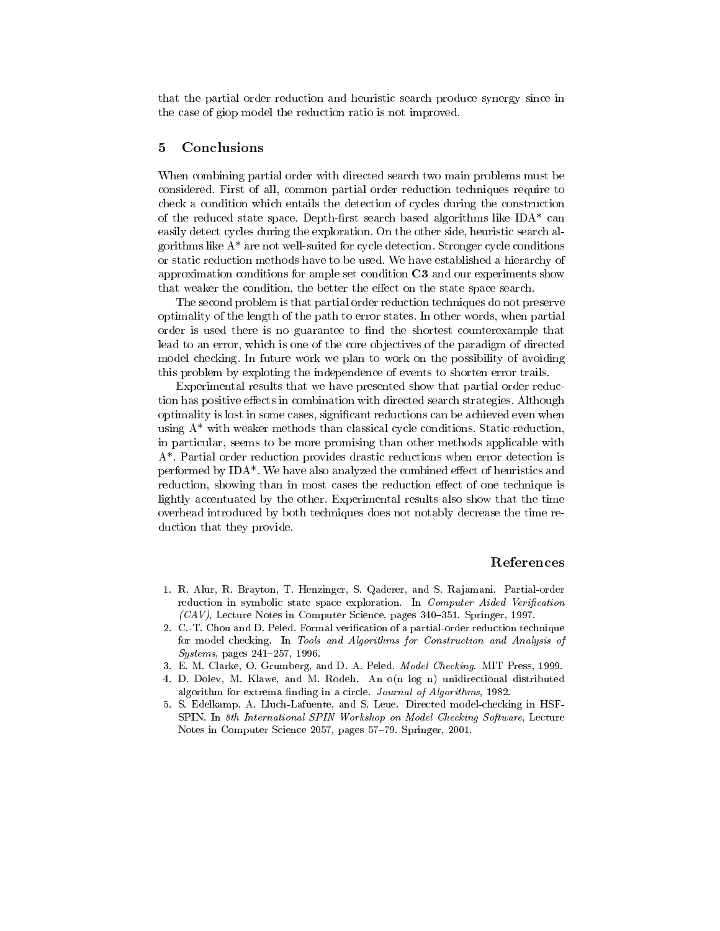that the partial order reduction and heuristic search produce synergy since in the case of giop model the reduction ratio is not improved.

#### 5Conclusions

When combining partial order with directed search two main problems must be considered. First of all, common partial order reduction techniques require to check a condition which entails the detection of cycles during the construction of the reduced state space. Depth-first search based algorithms like  $IDA^*$  can easily detect cycles during the exploration. On the other side, heuristic search algorithms like A\* are not well-suited for cycle detection. Stronger cycle conditions or static reduction methods have to be used. We have established a hierarchy of approximation conditions for ample set condition  $C3$  and our experiments show that weaker the condition, the better the effect on the state space search.

The second problem is that partial order reduction techniques do not preserve optimality of the length of the path to error states. In other words, when partial order is used there is no guarantee to find the shortest counterexample that lead to an error, which is one of the core ob jectives of the paradigm of directed model checking. In future work we plan to work on the possibility of avoiding this problem by exploting the independence of events to shorten error trails.

Experimental results that we have presented show that partial order reduction has positive effects in combination with directed search strategies. Although optimality is lost in some cases, signicant reductions can be achieved even when using A\* with weaker methods than classical cycle conditions. Static reduction, in particular, seems to be more promising than other methods applicable with A\*. Partial order reduction provides drastic reductions when error detection is performed by  $IDA^*$ . We have also analyzed the combined effect of heuristics and reduction, showing than in most cases the reduction effect of one technique is lightly accentuated by the other. Experimental results also show that the time overhead introduced by both techniques does not notably decrease the time reduction that they provide.

## References

- 1. R. Alur, R. Brayton, T. Henzinger, S. Qaderer, and S. Ra jamani. Partial-order reduction in symbolic state space exploration. In Computer Aided Verification  $(CAV)$ , Lecture Notes in Computer Science, pages 340-351. Springer, 1997.
- 2. C.-T. Chou and D. Peled. Formal verication of a partial-order reduction technique for model checking. In Tools and Algorithms for Construction and Analysis of  $Systems, pages 241–257, 1996.$
- 3. E. M. Clarke, O. Grumberg, and D. A. Peled. Model Checking. MIT Press, 1999.
- 4. D. Dolev, M. Klawe, and M. Rodeh. An o(n log n) unidirectional distributed algorithm for extrema finding in a circle. Journal of Algorithms, 1982.
- 5. S. Edelkamp, A. Lluch-Lafuente, and S. Leue. Directed model-checking in HSF-SPIN. In 8th International SPIN Workshop on Model Checking Software, Lecture Notes in Computer Science 2057, pages 57-79. Springer, 2001.